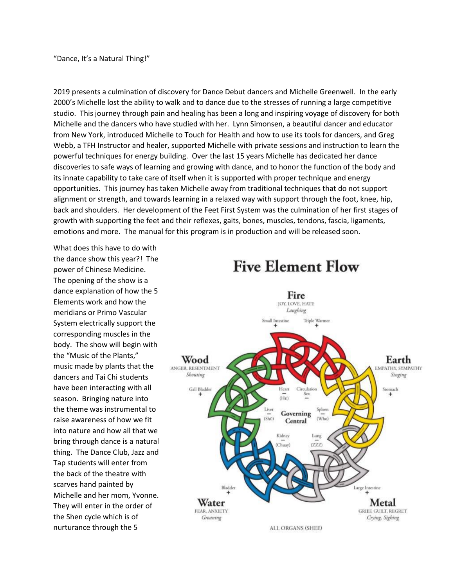"Dance, It's a Natural Thing!"

2019 presents a culmination of discovery for Dance Debut dancers and Michelle Greenwell. In the early 2000's Michelle lost the ability to walk and to dance due to the stresses of running a large competitive studio. This journey through pain and healing has been a long and inspiring voyage of discovery for both Michelle and the dancers who have studied with her. Lynn Simonsen, a beautiful dancer and educator from New York, introduced Michelle to Touch for Health and how to use its tools for dancers, and Greg Webb, a TFH Instructor and healer, supported Michelle with private sessions and instruction to learn the powerful techniques for energy building. Over the last 15 years Michelle has dedicated her dance discoveries to safe ways of learning and growing with dance, and to honor the function of the body and its innate capability to take care of itself when it is supported with proper technique and energy opportunities. This journey has taken Michelle away from traditional techniques that do not support alignment or strength, and towards learning in a relaxed way with support through the foot, knee, hip, back and shoulders. Her development of the Feet First System was the culmination of her first stages of growth with supporting the feet and their reflexes, gaits, bones, muscles, tendons, fascia, ligaments, emotions and more. The manual for this program is in production and will be released soon.

What does this have to do with the dance show this year?! The power of Chinese Medicine. The opening of the show is a dance explanation of how the 5 Elements work and how the meridians or Primo Vascular System electrically support the corresponding muscles in the body. The show will begin with the "Music of the Plants," music made by plants that the dancers and Tai Chi students have been interacting with all season. Bringing nature into the theme was instrumental to raise awareness of how we fit into nature and how all that we bring through dance is a natural thing. The Dance Club, Jazz and Tap students will enter from the back of the theatre with scarves hand painted by Michelle and her mom, Yvonne. They will enter in the order of the Shen cycle which is of nurturance through the 5



## **Five Element Flow**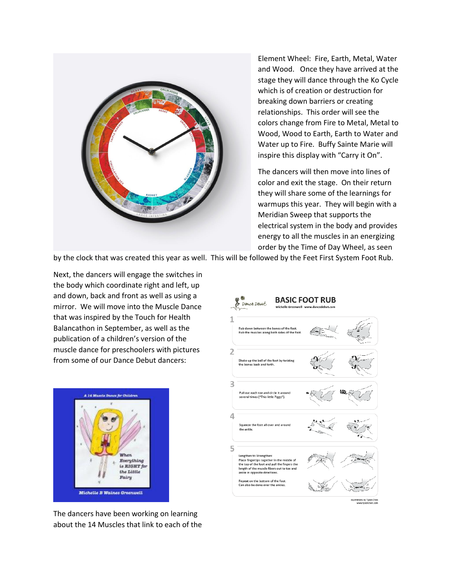

Element Wheel: Fire, Earth, Metal, Water and Wood. Once they have arrived at the stage they will dance through the Ko Cycle which is of creation or destruction for breaking down barriers or creating relationships. This order will see the colors change from Fire to Metal, Metal to Wood, Wood to Earth, Earth to Water and Water up to Fire. Buffy Sainte Marie will inspire this display with "Carry it On".

The dancers will then move into lines of color and exit the stage. On their return they will share some of the learnings for warmups this year. They will begin with a Meridian Sweep that supports the electrical system in the body and provides energy to all the muscles in an energizing order by the Time of Day Wheel, as seen

by the clock that was created this year as well. This will be followed by the Feet First System Foot Rub.

Next, the dancers will engage the switches in the body which coordinate right and left, up and down, back and front as well as using a mirror. We will move into the Muscle Dance that was inspired by the Touch for Health Balancathon in September, as well as the publication of a children's version of the muscle dance for preschoolers with pictures from some of our Dance Debut dancers:



**BASIC FOOT RUB** Dance Debut vn hetween the hones of the foot cles along both sides of the fo  $\overline{2}$ Shake up the ball of the foot by twisting the bones back and forth. 3 Pull out each toe and circle it around<br>several times ("This little Piggy"). Δ eze the foot all over and around the ankle. 5 Lengthen to Strengthen:<br>Place fingertips together in the middle of<br>the top of the foot and pull the fingers the length of the muscle fibers out to toe and ankle in opposite directions eat on the bottom of the foot also he done over the an

The dancers have been working on learning about the 14 Muscles that link to each of the